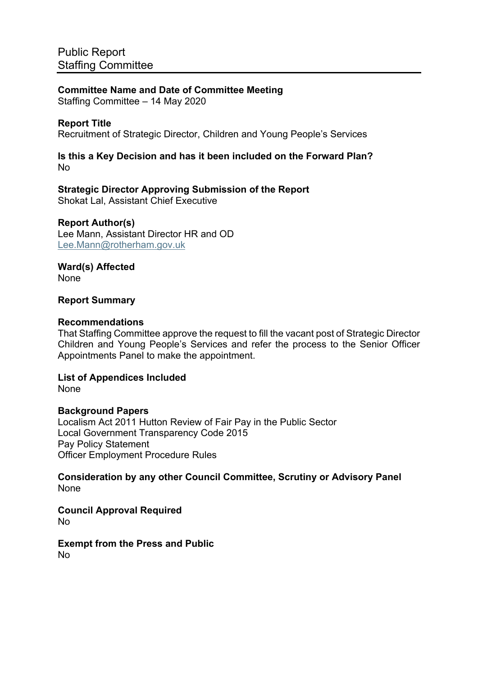**Committee Name and Date of Committee Meeting** Staffing Committee – 14 May 2020

# **Report Title**

Recruitment of Strategic Director, Children and Young People's Services

#### **Is this a Key Decision and has it been included on the Forward Plan?** No

**Strategic Director Approving Submission of the Report** Shokat Lal, Assistant Chief Executive

### **Report Author(s)**

Lee Mann, Assistant Director HR and OD [Lee.Mann@rotherham.gov.uk](mailto:Lee.Mann@rotherham.gov.uk)

**Ward(s) Affected** None

### **Report Summary**

#### **Recommendations**

That Staffing Committee approve the request to fill the vacant post of Strategic Director Children and Young People's Services and refer the process to the Senior Officer Appointments Panel to make the appointment.

**List of Appendices Included** None

#### **Background Papers**

Localism Act 2011 Hutton Review of Fair Pay in the Public Sector Local Government Transparency Code 2015 Pay Policy Statement Officer Employment Procedure Rules

**Consideration by any other Council Committee, Scrutiny or Advisory Panel** None

**Council Approval Required** No

**Exempt from the Press and Public** No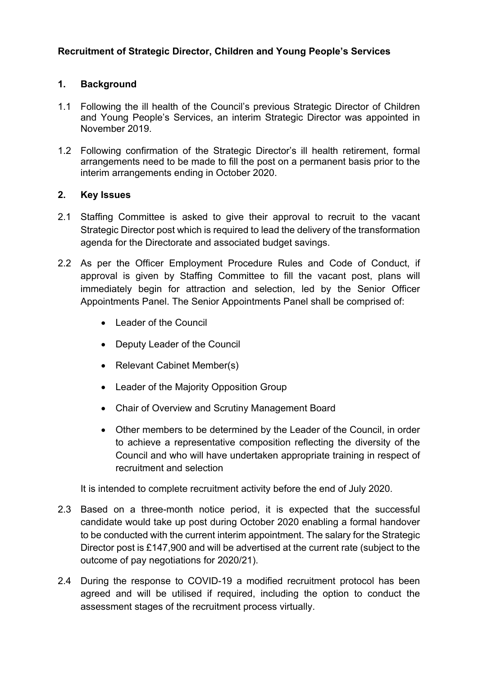# **Recruitment of Strategic Director, Children and Young People's Services**

## **1. Background**

- 1.1 Following the ill health of the Council's previous Strategic Director of Children and Young People's Services, an interim Strategic Director was appointed in November 2019.
- 1.2 Following confirmation of the Strategic Director's ill health retirement, formal arrangements need to be made to fill the post on a permanent basis prior to the interim arrangements ending in October 2020.

### **2. Key Issues**

- 2.1 Staffing Committee is asked to give their approval to recruit to the vacant Strategic Director post which is required to lead the delivery of the transformation agenda for the Directorate and associated budget savings.
- 2.2 As per the Officer Employment Procedure Rules and Code of Conduct, if approval is given by Staffing Committee to fill the vacant post, plans will immediately begin for attraction and selection, led by the Senior Officer Appointments Panel. The Senior Appointments Panel shall be comprised of:
	- Leader of the Council
	- Deputy Leader of the Council
	- Relevant Cabinet Member(s)
	- Leader of the Majority Opposition Group
	- Chair of Overview and Scrutiny Management Board
	- Other members to be determined by the Leader of the Council, in order to achieve a representative composition reflecting the diversity of the Council and who will have undertaken appropriate training in respect of recruitment and selection

It is intended to complete recruitment activity before the end of July 2020.

- 2.3 Based on a three-month notice period, it is expected that the successful candidate would take up post during October 2020 enabling a formal handover to be conducted with the current interim appointment. The salary for the Strategic Director post is £147,900 and will be advertised at the current rate (subject to the outcome of pay negotiations for 2020/21).
- 2.4 During the response to COVID-19 a modified recruitment protocol has been agreed and will be utilised if required, including the option to conduct the assessment stages of the recruitment process virtually.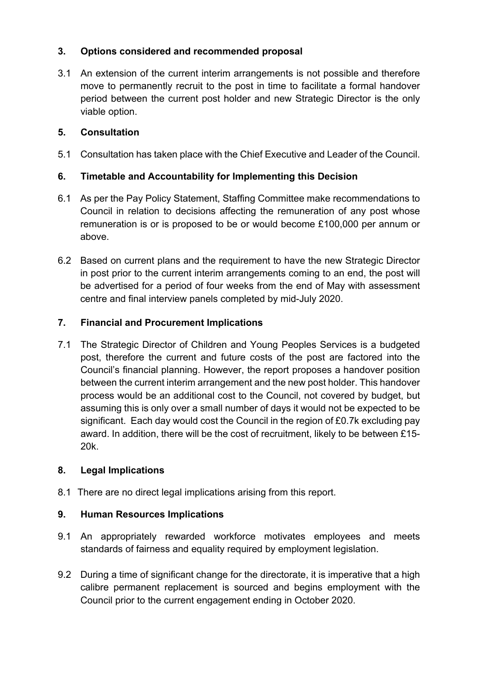# **3. Options considered and recommended proposal**

3.1 An extension of the current interim arrangements is not possible and therefore move to permanently recruit to the post in time to facilitate a formal handover period between the current post holder and new Strategic Director is the only viable option.

# **5. Consultation**

5.1 Consultation has taken place with the Chief Executive and Leader of the Council.

# **6. Timetable and Accountability for Implementing this Decision**

- 6.1 As per the Pay Policy Statement, Staffing Committee make recommendations to Council in relation to decisions affecting the remuneration of any post whose remuneration is or is proposed to be or would become £100,000 per annum or above.
- 6.2 Based on current plans and the requirement to have the new Strategic Director in post prior to the current interim arrangements coming to an end, the post will be advertised for a period of four weeks from the end of May with assessment centre and final interview panels completed by mid-July 2020.

## **7. Financial and Procurement Implications**

7.1 The Strategic Director of Children and Young Peoples Services is a budgeted post, therefore the current and future costs of the post are factored into the Council's financial planning. However, the report proposes a handover position between the current interim arrangement and the new post holder. This handover process would be an additional cost to the Council, not covered by budget, but assuming this is only over a small number of days it would not be expected to be significant. Each day would cost the Council in the region of £0.7k excluding pay award. In addition, there will be the cost of recruitment, likely to be between £15- 20k.

## **8. Legal Implications**

8.1 There are no direct legal implications arising from this report.

## **9. Human Resources Implications**

- 9.1 An appropriately rewarded workforce motivates employees and meets standards of fairness and equality required by employment legislation.
- 9.2 During a time of significant change for the directorate, it is imperative that a high calibre permanent replacement is sourced and begins employment with the Council prior to the current engagement ending in October 2020.